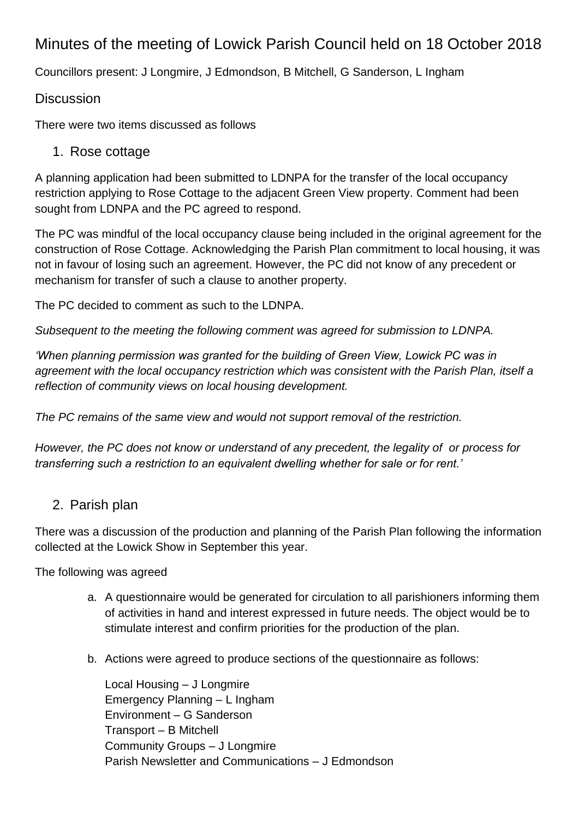## Minutes of the meeting of Lowick Parish Council held on 18 October 2018

Councillors present: J Longmire, J Edmondson, B Mitchell, G Sanderson, L Ingham

## **Discussion**

There were two items discussed as follows

## 1. Rose cottage

A planning application had been submitted to LDNPA for the transfer of the local occupancy restriction applying to Rose Cottage to the adjacent Green View property. Comment had been sought from LDNPA and the PC agreed to respond.

The PC was mindful of the local occupancy clause being included in the original agreement for the construction of Rose Cottage. Acknowledging the Parish Plan commitment to local housing, it was not in favour of losing such an agreement. However, the PC did not know of any precedent or mechanism for transfer of such a clause to another property.

The PC decided to comment as such to the LDNPA.

*Subsequent to the meeting the following comment was agreed for submission to LDNPA.*

*'When planning permission was granted for the building of Green View, Lowick PC was in agreement with the local occupancy restriction which was consistent with the Parish Plan, itself a reflection of community views on local housing development.*

*The PC remains of the same view and would not support removal of the restriction.*

*However, the PC does not know or understand of any precedent, the legality of or process for transferring such a restriction to an equivalent dwelling whether for sale or for rent.'*

## 2. Parish plan

There was a discussion of the production and planning of the Parish Plan following the information collected at the Lowick Show in September this year.

The following was agreed

- a. A questionnaire would be generated for circulation to all parishioners informing them of activities in hand and interest expressed in future needs. The object would be to stimulate interest and confirm priorities for the production of the plan.
- b. Actions were agreed to produce sections of the questionnaire as follows:

Local Housing – J Longmire Emergency Planning – L Ingham Environment – G Sanderson Transport – B Mitchell Community Groups – J Longmire Parish Newsletter and Communications – J Edmondson